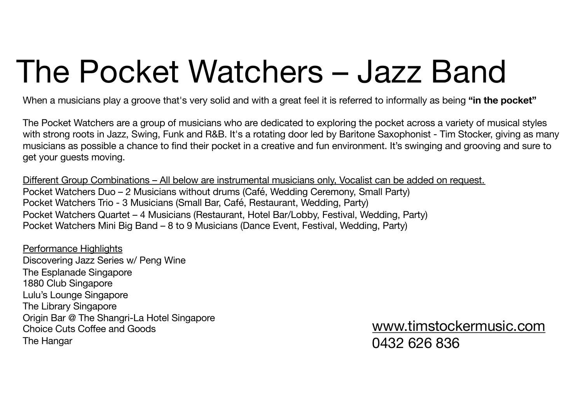# The Pocket Watchers – Jazz Band

When a musicians play a groove that's very solid and with a great feel it is referred to informally as being **"in the pocket"**

The Pocket Watchers are a group of musicians who are dedicated to exploring the pocket across a variety of musical styles with strong roots in Jazz, Swing, Funk and R&B. It's a rotating door led by Baritone Saxophonist - Tim Stocker, giving as many musicians as possible a chance to find their pocket in a creative and fun environment. It's swinging and grooving and sure to get your guests moving.

Different Group Combinations – All below are instrumental musicians only, Vocalist can be added on request. Pocket Watchers Duo – 2 Musicians without drums (Café, Wedding Ceremony, Small Party) Pocket Watchers Trio - 3 Musicians (Small Bar, Café, Restaurant, Wedding, Party) Pocket Watchers Quartet – 4 Musicians (Restaurant, Hotel Bar/Lobby, Festival, Wedding, Party) Pocket Watchers Mini Big Band – 8 to 9 Musicians (Dance Event, Festival, Wedding, Party)

Performance Highlights Discovering Jazz Series w/ Peng Wine The Esplanade Singapore 1880 Club Singapore Lulu's Lounge Singapore The Library Singapore Origin Bar @ The Shangri-La Hotel Singapore Choice Cuts Coffee and Goods The Hangar

[www.timstockermusic.com](http://www.timstockermusic.com/) 0432 626 836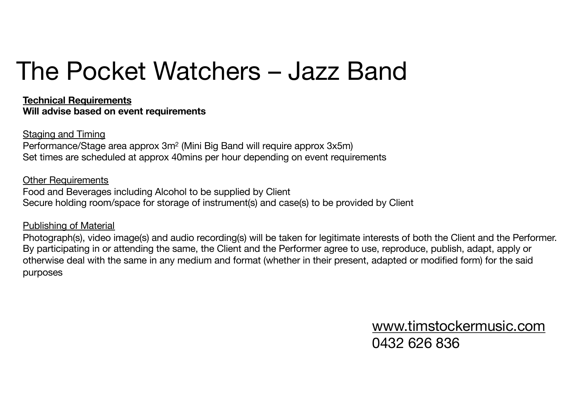## The Pocket Watchers – Jazz Band

**Technical Requirements Will advise based on event requirements**

Staging and Timing Performance/Stage area approx 3m2 (Mini Big Band will require approx 3x5m) Set times are scheduled at approx 40mins per hour depending on event requirements

Other Requirements Food and Beverages including Alcohol to be supplied by Client Secure holding room/space for storage of instrument(s) and case(s) to be provided by Client

Publishing of Material

Photograph(s), video image(s) and audio recording(s) will be taken for legitimate interests of both the Client and the Performer. By participating in or attending the same, the Client and the Performer agree to use, reproduce, publish, adapt, apply or otherwise deal with the same in any medium and format (whether in their present, adapted or modified form) for the said purposes

> [www.timstockermusic.com](http://www.timstockermusic.com/) 0432 626 836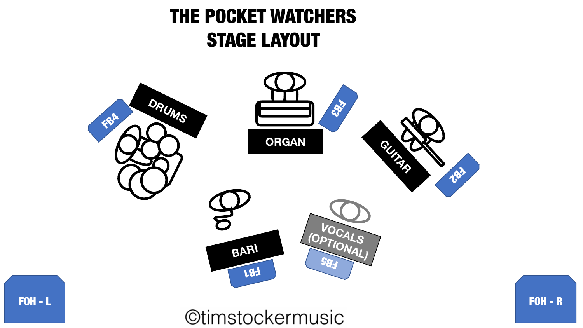### THE POCKET WATCHERS STAGE LAYOUT

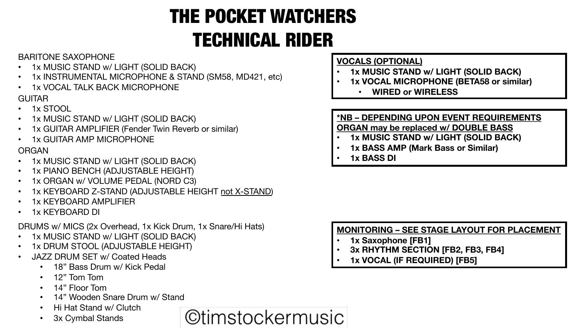## THE POCKET WATCHERS TECHNICAL RIDER

#### BARITONE SAXOPHONE

- 1x MUSIC STAND w/ LIGHT (SOLID BACK)
- 1x INSTRUMENTAL MICROPHONE & STAND (SM58, MD421, etc)
- 1x VOCAL TALK BACK MICROPHONE

#### GUITAR

- 1x STOOL
- 1x MUSIC STAND w/ LIGHT (SOLID BACK)
- 1x GUITAR AMPLIFIER (Fender Twin Reverb or similar)
- 1x GUITAR AMP MICROPHONE

#### ORGAN

- 1x MUSIC STAND w/ LIGHT (SOLID BACK)
- 1x PIANO BENCH (ADJUSTABLE HEIGHT)
- 1x ORGAN w/ VOLUME PEDAL (NORD C3)
- 1x KEYBOARD Z-STAND (ADJUSTABLE HEIGHT not X-STAND)
- 1x KEYBOARD AMPLIFIER
- 1x KEYBOARD DI

DRUMS w/ MICS (2x Overhead, 1x Kick Drum, 1x Snare/Hi Hats)

- 1x MUSIC STAND w/ LIGHT (SOLID BACK)
- 1x DRUM STOOL (ADJUSTABLE HEIGHT)
- JAZZ DRUM SET w/ Coated Heads
	- 18" Bass Drum w/ Kick Pedal
	- 12" Tom Tom
	- 14" Floor Tom
	- 14" Wooden Snare Drum w/ Stand
	- Hi Hat Stand w/ Clutch
	- 3x Cymbal Stands

**©timstockermusic** 

#### **VOCALS (OPTIONAL)**

- **1x MUSIC STAND w/ LIGHT (SOLID BACK)**
- **1x VOCAL MICROPHONE (BETA58 or similar)**
	- **WIRED or WIRELESS**

#### **\*NB – DEPENDING UPON EVENT REQUIREMENTS**

**ORGAN may be replaced w/ DOUBLE BASS**

- **1x MUSIC STAND w/ LIGHT (SOLID BACK)**
- **1x BASS AMP (Mark Bass or Similar)**
- **1x BASS DI**

#### **MONITORING – SEE STAGE LAYOUT FOR PLACEMENT**

- **1x Saxophone [FB1]**
- **3x RHYTHM SECTION [FB2, FB3, FB4]**
- **1x VOCAL (IF REQUIRED) [FB5]**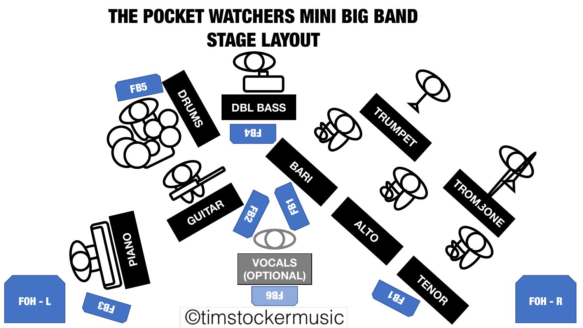